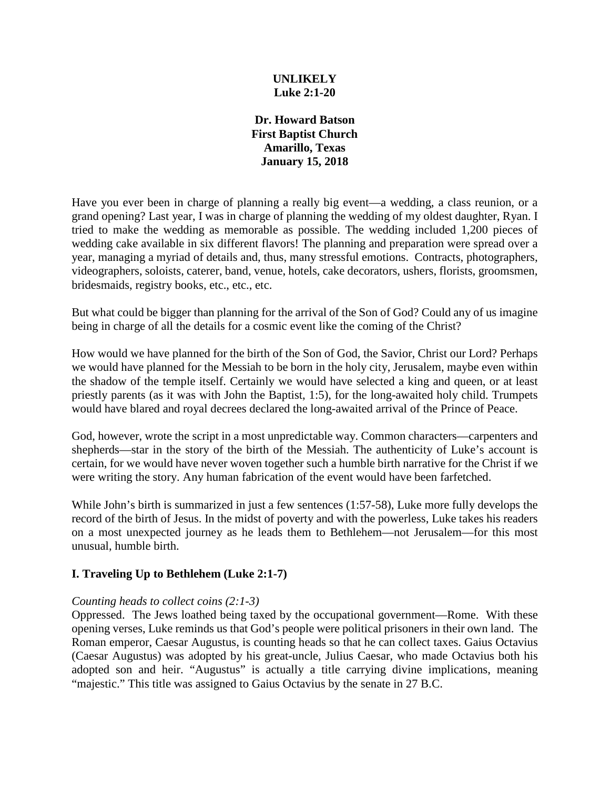### **UNLIKELY Luke 2:1-20**

**Dr. Howard Batson First Baptist Church Amarillo, Texas January 15, 2018**

Have you ever been in charge of planning a really big event—a wedding, a class reunion, or a grand opening? Last year, I was in charge of planning the wedding of my oldest daughter, Ryan. I tried to make the wedding as memorable as possible. The wedding included 1,200 pieces of wedding cake available in six different flavors! The planning and preparation were spread over a year, managing a myriad of details and, thus, many stressful emotions. Contracts, photographers, videographers, soloists, caterer, band, venue, hotels, cake decorators, ushers, florists, groomsmen, bridesmaids, registry books, etc., etc., etc.

But what could be bigger than planning for the arrival of the Son of God? Could any of us imagine being in charge of all the details for a cosmic event like the coming of the Christ?

How would we have planned for the birth of the Son of God, the Savior, Christ our Lord? Perhaps we would have planned for the Messiah to be born in the holy city, Jerusalem, maybe even within the shadow of the temple itself. Certainly we would have selected a king and queen, or at least priestly parents (as it was with John the Baptist, 1:5), for the long-awaited holy child. Trumpets would have blared and royal decrees declared the long-awaited arrival of the Prince of Peace.

God, however, wrote the script in a most unpredictable way. Common characters—carpenters and shepherds—star in the story of the birth of the Messiah. The authenticity of Luke's account is certain, for we would have never woven together such a humble birth narrative for the Christ if we were writing the story. Any human fabrication of the event would have been farfetched.

While John's birth is summarized in just a few sentences (1:57-58), Luke more fully develops the record of the birth of Jesus. In the midst of poverty and with the powerless, Luke takes his readers on a most unexpected journey as he leads them to Bethlehem—not Jerusalem—for this most unusual, humble birth.

# **I. Traveling Up to Bethlehem (Luke 2:1-7)**

### *Counting heads to collect coins (2:1-3)*

Oppressed. The Jews loathed being taxed by the occupational government—Rome. With these opening verses, Luke reminds us that God's people were political prisoners in their own land. The Roman emperor, Caesar Augustus, is counting heads so that he can collect taxes. Gaius Octavius (Caesar Augustus) was adopted by his great-uncle, Julius Caesar, who made Octavius both his adopted son and heir. "Augustus" is actually a title carrying divine implications, meaning "majestic." This title was assigned to Gaius Octavius by the senate in 27 B.C.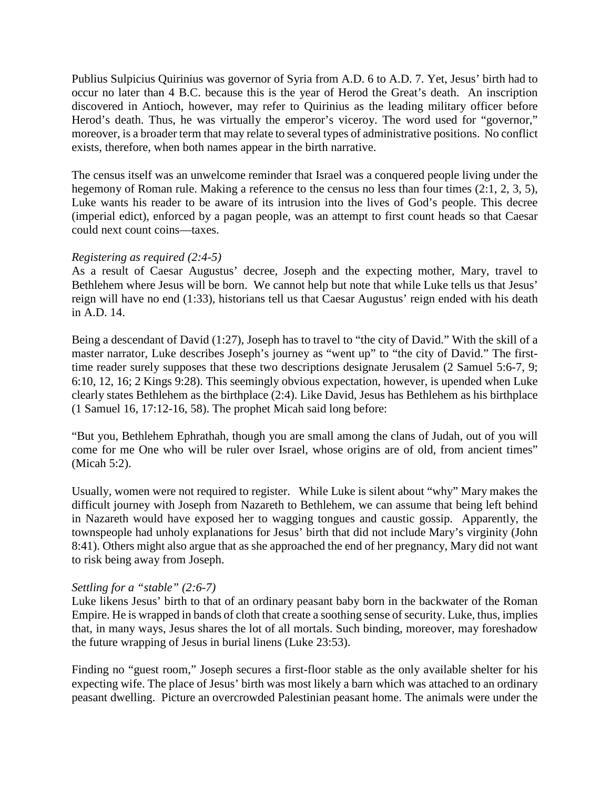Publius Sulpicius Quirinius was governor of Syria from A.D. 6 to A.D. 7. Yet, Jesus' birth had to occur no later than 4 B.C. because this is the year of Herod the Great's death. An inscription discovered in Antioch, however, may refer to Quirinius as the leading military officer before Herod's death. Thus, he was virtually the emperor's viceroy. The word used for "governor," moreover, is a broader term that may relate to several types of administrative positions. No conflict exists, therefore, when both names appear in the birth narrative.

The census itself was an unwelcome reminder that Israel was a conquered people living under the hegemony of Roman rule. Making a reference to the census no less than four times (2:1, 2, 3, 5), Luke wants his reader to be aware of its intrusion into the lives of God's people. This decree (imperial edict), enforced by a pagan people, was an attempt to first count heads so that Caesar could next count coins—taxes.

### *Registering as required (2:4-5)*

As a result of Caesar Augustus' decree, Joseph and the expecting mother, Mary, travel to Bethlehem where Jesus will be born. We cannot help but note that while Luke tells us that Jesus' reign will have no end (1:33), historians tell us that Caesar Augustus' reign ended with his death in A.D. 14.

Being a descendant of David (1:27), Joseph has to travel to "the city of David." With the skill of a master narrator, Luke describes Joseph's journey as "went up" to "the city of David." The firsttime reader surely supposes that these two descriptions designate Jerusalem (2 Samuel 5:6-7, 9; 6:10, 12, 16; 2 Kings 9:28). This seemingly obvious expectation, however, is upended when Luke clearly states Bethlehem as the birthplace (2:4). Like David, Jesus has Bethlehem as his birthplace (1 Samuel 16, 17:12-16, 58). The prophet Micah said long before:

"But you, Bethlehem Ephrathah, though you are small among the clans of Judah, out of you will come for me One who will be ruler over Israel, whose origins are of old, from ancient times" (Micah 5:2).

Usually, women were not required to register. While Luke is silent about "why" Mary makes the difficult journey with Joseph from Nazareth to Bethlehem, we can assume that being left behind in Nazareth would have exposed her to wagging tongues and caustic gossip. Apparently, the townspeople had unholy explanations for Jesus' birth that did not include Mary's virginity (John 8:41). Others might also argue that as she approached the end of her pregnancy, Mary did not want to risk being away from Joseph.

### *Settling for a "stable" (2:6-7)*

Luke likens Jesus' birth to that of an ordinary peasant baby born in the backwater of the Roman Empire. He is wrapped in bands of cloth that create a soothing sense of security. Luke, thus, implies that, in many ways, Jesus shares the lot of all mortals. Such binding, moreover, may foreshadow the future wrapping of Jesus in burial linens (Luke 23:53).

Finding no "guest room," Joseph secures a first-floor stable as the only available shelter for his expecting wife. The place of Jesus' birth was most likely a barn which was attached to an ordinary peasant dwelling. Picture an overcrowded Palestinian peasant home. The animals were under the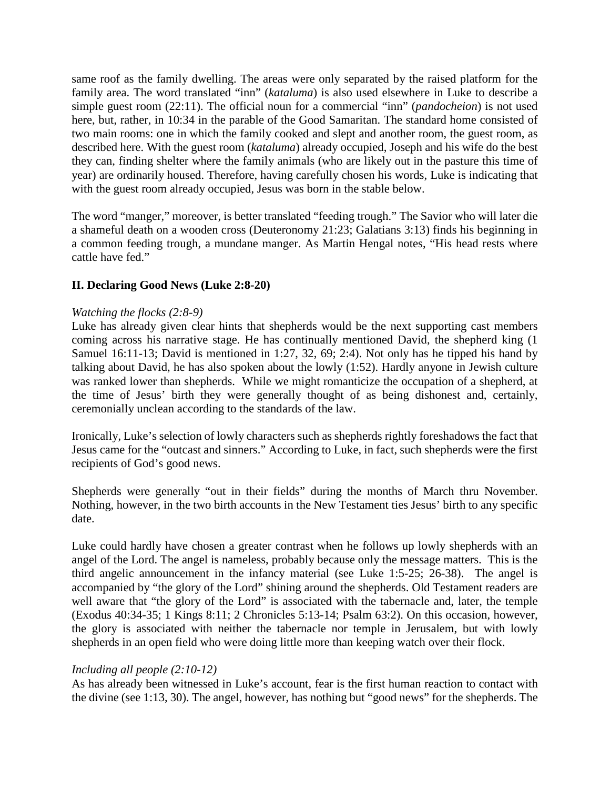same roof as the family dwelling. The areas were only separated by the raised platform for the family area. The word translated "inn" (*kataluma*) is also used elsewhere in Luke to describe a simple guest room (22:11). The official noun for a commercial "inn" (*pandocheion*) is not used here, but, rather, in 10:34 in the parable of the Good Samaritan. The standard home consisted of two main rooms: one in which the family cooked and slept and another room, the guest room, as described here. With the guest room (*kataluma*) already occupied, Joseph and his wife do the best they can, finding shelter where the family animals (who are likely out in the pasture this time of year) are ordinarily housed. Therefore, having carefully chosen his words, Luke is indicating that with the guest room already occupied, Jesus was born in the stable below.

The word "manger," moreover, is better translated "feeding trough." The Savior who will later die a shameful death on a wooden cross (Deuteronomy 21:23; Galatians 3:13) finds his beginning in a common feeding trough, a mundane manger. As Martin Hengal notes, "His head rests where cattle have fed."

# **II. Declaring Good News (Luke 2:8-20)**

### *Watching the flocks (2:8-9)*

Luke has already given clear hints that shepherds would be the next supporting cast members coming across his narrative stage. He has continually mentioned David, the shepherd king (1 Samuel 16:11-13; David is mentioned in 1:27, 32, 69; 2:4). Not only has he tipped his hand by talking about David, he has also spoken about the lowly (1:52). Hardly anyone in Jewish culture was ranked lower than shepherds. While we might romanticize the occupation of a shepherd, at the time of Jesus' birth they were generally thought of as being dishonest and, certainly, ceremonially unclean according to the standards of the law.

Ironically, Luke's selection of lowly characters such as shepherds rightly foreshadows the fact that Jesus came for the "outcast and sinners." According to Luke, in fact, such shepherds were the first recipients of God's good news.

Shepherds were generally "out in their fields" during the months of March thru November. Nothing, however, in the two birth accounts in the New Testament ties Jesus' birth to any specific date.

Luke could hardly have chosen a greater contrast when he follows up lowly shepherds with an angel of the Lord. The angel is nameless, probably because only the message matters. This is the third angelic announcement in the infancy material (see Luke 1:5-25; 26-38). The angel is accompanied by "the glory of the Lord" shining around the shepherds. Old Testament readers are well aware that "the glory of the Lord" is associated with the tabernacle and, later, the temple (Exodus 40:34-35; 1 Kings 8:11; 2 Chronicles 5:13-14; Psalm 63:2). On this occasion, however, the glory is associated with neither the tabernacle nor temple in Jerusalem, but with lowly shepherds in an open field who were doing little more than keeping watch over their flock.

### *Including all people (2:10-12)*

As has already been witnessed in Luke's account, fear is the first human reaction to contact with the divine (see 1:13, 30). The angel, however, has nothing but "good news" for the shepherds. The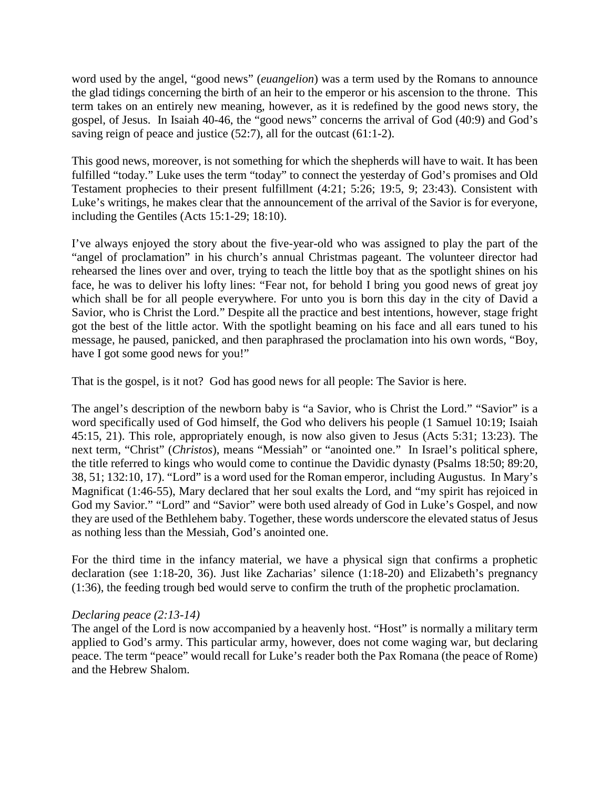word used by the angel, "good news" (*euangelion*) was a term used by the Romans to announce the glad tidings concerning the birth of an heir to the emperor or his ascension to the throne. This term takes on an entirely new meaning, however, as it is redefined by the good news story, the gospel, of Jesus. In Isaiah 40-46, the "good news" concerns the arrival of God (40:9) and God's saving reign of peace and justice  $(52:7)$ , all for the outcast  $(61:1-2)$ .

This good news, moreover, is not something for which the shepherds will have to wait. It has been fulfilled "today." Luke uses the term "today" to connect the yesterday of God's promises and Old Testament prophecies to their present fulfillment (4:21; 5:26; 19:5, 9; 23:43). Consistent with Luke's writings, he makes clear that the announcement of the arrival of the Savior is for everyone, including the Gentiles (Acts 15:1-29; 18:10).

I've always enjoyed the story about the five-year-old who was assigned to play the part of the "angel of proclamation" in his church's annual Christmas pageant. The volunteer director had rehearsed the lines over and over, trying to teach the little boy that as the spotlight shines on his face, he was to deliver his lofty lines: "Fear not, for behold I bring you good news of great joy which shall be for all people everywhere. For unto you is born this day in the city of David a Savior, who is Christ the Lord." Despite all the practice and best intentions, however, stage fright got the best of the little actor. With the spotlight beaming on his face and all ears tuned to his message, he paused, panicked, and then paraphrased the proclamation into his own words, "Boy, have I got some good news for you!"

That is the gospel, is it not? God has good news for all people: The Savior is here.

The angel's description of the newborn baby is "a Savior, who is Christ the Lord." "Savior" is a word specifically used of God himself, the God who delivers his people (1 Samuel 10:19; Isaiah 45:15, 21). This role, appropriately enough, is now also given to Jesus (Acts 5:31; 13:23). The next term, "Christ" (*Christos*), means "Messiah" or "anointed one." In Israel's political sphere, the title referred to kings who would come to continue the Davidic dynasty (Psalms 18:50; 89:20, 38, 51; 132:10, 17). "Lord" is a word used for the Roman emperor, including Augustus. In Mary's Magnificat (1:46-55), Mary declared that her soul exalts the Lord, and "my spirit has rejoiced in God my Savior." "Lord" and "Savior" were both used already of God in Luke's Gospel, and now they are used of the Bethlehem baby. Together, these words underscore the elevated status of Jesus as nothing less than the Messiah, God's anointed one.

For the third time in the infancy material, we have a physical sign that confirms a prophetic declaration (see 1:18-20, 36). Just like Zacharias' silence (1:18-20) and Elizabeth's pregnancy (1:36), the feeding trough bed would serve to confirm the truth of the prophetic proclamation.

### *Declaring peace (2:13-14)*

The angel of the Lord is now accompanied by a heavenly host. "Host" is normally a military term applied to God's army. This particular army, however, does not come waging war, but declaring peace. The term "peace" would recall for Luke's reader both the Pax Romana (the peace of Rome) and the Hebrew Shalom.